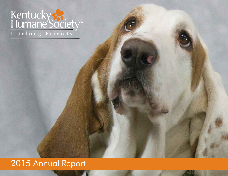# Kentucky &<br>Humane Society

**Lifelong Friends**

**Lifelong Friends**

# 2015 Annual Report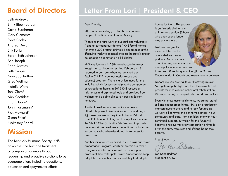# Board of Directors

Beth Andrews Brink Bloembergen David Buschman Gary Clements Steve Codey Andrea Duvall Erik Furlan Sarah Beth Johnson Ann Joseph Brian Ramsey Patti Swope Nancy Jo Trafton Greg Wellman Natalie White Toni Clem\* Nick Costides\* Brian Haara\* John Hassmann\* Rick Maynard\* Glenn Price\* \* Advisory Board

# Mission

2 education and spay/neuter efforts.The Kentucky Humane Society (KHS) advocates the humane treatment of companion animals through leadership and proactive solutions to pet overpopulation, including adoptions,

# Letter From Lori | President & CEO

Dear Friends,

2015 was an exciting year for the animals and people at the Kentucky Humane Society.

Thanks to the hard work of our staff and volunteers – and to our generous donors – KHS found homes for over 6,300 grateful animals. I am amazed at the lifesaving work we accomplished as the state's largest pet adoption agency and no-kill shelter.

KHS was founded in 1884 to advocate for water troughs for carriage horses. Last February KHS returned to our roots when we launched our Equine C.A.R.E. (connect, assist, rescue and educate) program. There is a critical need for this initiative, which focuses on helping the companion or recreational horse. In 2015 KHS rescued atrisk horses and orphaned foals and provided free wellness and gelding clinics to horses in Eastern Kentucky.

A critical need in our community is access to affordable preventative services for cats and dogs. It's a need we see acutely in calls to our Pet Help Line. KHS listened to this, and last April we launched the S.N.I.P. Clinic's Healthy Pets Program to provide donor-subsidized wellness examinations and vaccines for animals who otherwise do not have access to basic care.

Another initiative we launched in 2015 was our Foster Ambassador Program, which empowers our foster caregivers to take an active role in the adoption process of their foster pets. Foster Ambassadors keep adoptable pets in their homes until they find adoptive

homes for them. This program is particularly vital for shy animals and seniors – those who often spend longer time at the shelter.

Last year we greatly increased the number of our shelter-transfer partners. Animals in our adoption program came from municipal shelters and rescues



from over 30 Kentucky counties – from Graves County to Martin County and everywhere in between.

Donors like you are vital to our lifesaving mission. Your gifts keep the lights on, feed the animals and provide for medical and behavioral rehabilitation. We truly couldn't accomplish what we do without you.

Even with these accomplishments, we cannot stand still and expect great things. KHS is an organization that continues to evolve and to look forward as we work diligently to end pet homelessness in our community and state. I am confident that with your continued support, our vision for the future will become a reality: that every companion animal is given the care, resources and lifelong home they deserve.

In gratitude,

on Kene Redmon

Lori Kane Redmon President & CEO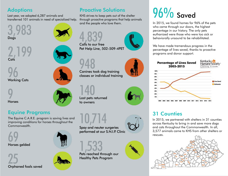## **Adoptions**

Last year, we adopted 6,287 animals and transferred 101 animals in need of specialized help.



2,199 **Cats** 

96 Working Cats

9 Horses

## Equine Programs

The Equine C.A.R.E. program is saving lives and improving conditions for horses throughout the Commonwealth.













4,839 Calls to our free

Proactive Solutions

and the people who love them.

KHS strives to keep pets out of the shelter through proactive programs that help animals

to owners

Spay and neuter surgeries performed at our S.N.I.P. Clinic



Healthy Pets Program









In 2015, we found homes for 96% of the pets who came through our doors, the highest percentage in our history. The only pets euthanized were those who were too sick or behaviorally unsound to be rehabilitated.

We have made tremendous progress in the percentage of lives saved, thanks to proactive programs and donor support.



## 31 Counties

In 2015, we partnered with shelters in 31 counties across Kentucky to bring in and save more dogs and cats throughout the Commonwealth. In all, 3,577 animals came to KHS from other shelters or rescues.





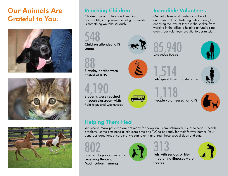# Our Animals Are Grateful to You.







## Reaching Children

Children are our future, and teaching responsible, compassionate pet guardianship is something we take seriously.

548 Children attended KHS Children attended KHS  $\mathbb{R}$  85,940



hosted at KHS

4,190 Students were reached through classroom visits, field trips and workshops





People volunteered for KHS



## Helping Them Heal

We receive many pets who are not ready for adoption. From behavioral issues to serious health problems, some pets need a little extra time and TLC to be ready for their forever homes. Your generous donations ensure that we can take in and treat these special dogs and cats.



receiving Behavior Modification Training





threatening illnesses were treated





Incredible Volunteers

Our volunteers work tirelessly on behalf of our animals. From fostering pets in need, to enriching the lives of those in the shelter, from working in the office to helping at fundraising events, our volunteers are vital to our mission.



Volunteer hours



, 110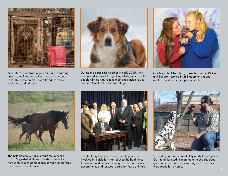

Animals rescued from puppy mills and hoarding cases came into our shelter in record numbers in 2015. These animals were loved, cared for, evaluated and adopted.



During the bitter cold weather in early 2015, KHS announced several Orange Flag Alerts, which invited people with no way to take their dogs inside to use our Fern Creek Pet Resort for refuge.



Our Mega Match-a-thon, presented by the ASPCA and Subaru, resulted in 288 adoptions in one weekend and helped empty our shelter.



The KHS Equine C.A.R.E. program, launched in 2015, gelded stallions in Eastern Kentucky to humanely reduce populations, saved orphan foals and rescued at-risk horses.



The Kentucky Humane Society was happy to be involved in legislation that reduced the hold times for abandoned horses, making it easier for county governments and rescues to care for these animals.



Some dogs are not immediately ready for adoption. Our Behavior Modification team helped shy dogs gain confidence and reactive dogs relax, so they were ready for a home.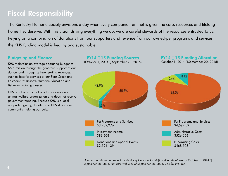# Fiscal Responsibility

The Kentucky Humane Society envisions a day when every companion animal is given the care, resources and lifelong home they deserve. With this vision driving everything we do, we are careful stewards of the resources entrusted to us. Relying on a combination of donations from our supporters and revenue from our owned-pet programs and services, the KHS funding model is healthy and sustainable.

### Budgeting and Finance

KHS maintains an average operating budget of \$5.5 million through the generous support of our donors and through self-generating revenues, such as fees for services at our Fern Creek and Eastpoint Pet Resorts, Humane Education and Behavior Training classes.

KHS is not a branch of any local or national animal welfare organization and does not receive government funding. Because KHS is a local nonprofit agency, donations to KHS stay in our community, helping our pets.



*Numbers in this section reflect the Kentucky Humane Society's audited fiscal year of October 1, 2014 – September 30, 2015. Net asset value as of September 30, 2015, was \$6,196,466.*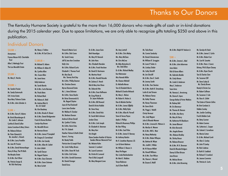## Thanks to Our Donors

The Kentucky Humane Society is grateful to the more than 16,000 donors who made gifts of cash or in-kind donations during the 2015 calendar year. Due to space limitations, we are only able to recognize gifts totaling \$250 and above in this publication.

## Individual Donors

#### $$50.000 +$

Anonymous Frances Masser M.D. Charitable **Trust** Allen S. Mattingly Trust The Leo Meredith Estate

#### $$25,000 +$

Ms. Mary E. Herche

#### $$10,000 +$

Ms. Sandra Frazier Ms. Sandy Gutermuth O.H. Irvine Estate Rose Mary Tichenor Estate Mr. & Mrs. John Zehnder Jr.

#### $$5,000 +$

Mr. & Mrs. Garry R. Adams Mr. Brink Bloembergen & Ms. Linda S. Johnsen Cynthia & David Collier Janice Crenshaw & Mary Stivers Ms. Reberra Dirkson Mr. Peter Edwards & Ms. Jennifer L. Branch Mr. & Mrs. Larry Franklin Ms. Jean W. Frazier Mr. & Mrs. David Heimerdinger Henry & Roxy, The Pit Bulls Ria Murphy Estate Dr. & Mrs. Kurt Oliver Ms. Patricia Swope & Mr. Rich VanCamp

Mr. & Mrs. W. Earl Zion Jr.  $$1,000.00 +$ 

Ms. Nancy J. Trafton

#### Mr. Michael G. Adams Mr. William O. Alden III

Ms. Cynthia Allen Mrs. Susan Allen Ms. Janet Ames Kelly Anderson Ms. Sarah Barela Ms. Paula Bates

Mr. & Mrs. Curtis Barman Mr. Richard Beck Ms. Rebecca A. Beld Ms. Andrea Blair & Mr. J.D. Schall Ms. Kim Boadway Mr. & Mrs. Brooks H. Bower Mr. & Mrs. Daniel Bridgewater Frank & Donna Brothers Carolyn Kay Brown Ms. Meredith Brown Mr. Norman Brown Mr. & Mrs. James P. Campbell Mr. Gregory D. Carmichael Mr. & Mrs. Ian Cassidy Mr. & Mrs. Allan M. Catlett Dr. John Celletti Ms. Syndi Chesser Ms. Raguel Clayton Mr. & Mrs. Gary Clements Mr. & Mrs. Gene Coleman

Ms. Mera Corlett

Mr. & Mrs. Dick Crane Ms. Sarah Creasy Jeff & Jean Ann Crenshaw Kelly Crite Mr. & Mrs. Richard Curtis Elizabeth C. Thomas Fund Mr. Alex Day & Mrs. Tammy York Day Mr. & Mrs. Phillip Deamer Ms. Christine Dennis Myrna Diamond Estate Ms. L. Anne Dishman Mr. & Mrs. Steve Doolin Mr. Brian Drewnowski & Ms. Raguel Clayton Joyce & Paul Duckwall Laura Jane Dunbar Mr. Wallace H. Dunbar Ms. Barbara Duncan Andrea & Brian Duvall Ms. Cynthia Y. Embry Mr. & Mrs. Kevin Estes Ms. P. A. Eubank Heather Falmen & Keith Zirbel Karen L. Ferring Mr. Randy Fields Patricia Ann & Joseph Flock Ms. Carla Fridley-Brown Mr. & Mrs. Owen W. Funk Mr. & Mrs. Erik Furlan Mr. & Mrs. Gerald Gammons Mr. Daniel Granger

David Gross

Vincent & Maria Corsi

Beth Haendiges Ms. Mary W. Hancock Mr. John Hans Mrs. Elizabeth Haraden Mr. & Mrs. Frank Harshaw Mr. David D. Hartmann Ms. Martina Hazel Mr. & Mrs. Ronald Hazuda Mr. Zachary E. Hench Bob & Mary Ann Hines Ms. Deborah Hite Mr. & Mrs. Evan Hoffmann Mr. Greg Pilotte & Dr. Jayne Hollander Mr. & Mrs. Bill Howard David & Krista Hubble Mr. Steve Huey Mr. & Mrs. David Huls Dr. Sarah Beth Johnson Jordan Clines Mr. & Mrs. Link Joseph Dr. Elizabeth A. Katzman Ms. Mary Kerr Kris Knight Diane Sanders Koehler & Patricia Sanders Werner Memorial Trust Ms. Melanie Kuhn Sammie S. Lambert Ms. Laurel Lammers Ms. Kristin M. Lomond Pam & Rob Longwell Ms. Mary Margaret Lowe

Dr. & Mrs. Jason Guin

Ms. Amy Luttrell Mr. & Mrs. Chris Maloy Mrs. Mary McClean Mr. Chris McCrea Mr. Mike McJunkins & Mrs. Deb Dillon Dr. & Mrs. Richard Medley Kurt Metzmeier Miss Hannah Miller Ms. Eleanor Mitchell Dr. Michelle Moran Tom & Elizabeth Morris Michael & Sandra Mrkacek Ms. Mary L. Nelson Mr. Robert A. Nolan Jr. Dan & Michele Oerther Mr. & Mrs. James O'Reilly Mr. & Mrs. Wally Oyler Mr. & Mrs. Allan M. Parnell Steve & Teresa Payne Ayako I. Phillips Richard & Rosemary Phillips Mr. Ben Pilling Mr. & Mrs. Saul Pohn Dr. & Mrs. James R. Ramsey Mr. Anthony Rankin Mr. R. Jonathan Raymon J.D. Lori & Kevin Redmon Mr. William S. Reeser Jr. **Mary Pat Regan** Rev. Linda Reichenbecher Mr. Mark E. Robbins Tonya Robinson Joy & Dave Roelfs

Ms. Connie Sandusky Mr. Daniel Schusterman Mr. William R. Scroggins Mr. Lewis P. Seiler Jr. Ms. Lindsay Shafer Ms. Cathy Shircliff Mr. Jim Shircliff Mr. & Mrs. Don E. Smith Mr. Jeremy Smith Mr. & Mrs. Tom Stenton Mr. & Mrs. Keith R. Strausburg Leslie & Joel Stream Ms. Rebecca Tamas Ms. Kathy Thomas Ms. Renay Thommen Mr. Gene Ulrich Ms. Peggy L. Vedelli Christy Vermost Mrs. Judy Wagner John & Rhonda Wanner Mr. & Mrs. Linwood A. Watson Jr. Ms. Marilyn A. Weaver Mr. & Mrs. Will L. West Ms. Nancy Wetherby Mr. & Mrs. Robert Whayne Ms. Bettina M. Whyte Mrs. Judith C. Wilder Mr. W. Roscoe Willett Ms. Howell Williams Mr. & Mrs. Tom Wilson Ms. Sharon L. Winstel Mr. Duane G. Wolff

Ms. Tesla Ruser

Mr. & Mrs. Ralph W. Yoakum Jr.

 $$500 +$ Mr. & Mrs. Jimmie L. Abel Mr. & Mrs. John Ackerman Jane Adam Rick & Karen Albers Ms. Gabriela Alcalde Ms. Cindy Alvano Ms. Linda G. Anderson Mary C. Anderson Sean Arms Ms. Vanessa L. Armstrong Ms. Donna K. Ayers George Bailey & Porter Watkins Mr. Rodney Bell Mr. Eric Benmour Mr. Thomas M. Benson Mr. & Mrs. Ken Berry Ms. Mary M. Berry Ms. Katherine W. Blackburn Ms. Janae Blanscet Mr. Alvin Borowick Mrs. Angela Bowen Mrs. Rebecca Bradley Ms. Shirley Braun Ms. Reberra Brauner Mr. & Mrs. W. K. Brennan David & Rhonda Bridgers Danny & Ellen Briscoe Jane Brown Ms. Melissa Brown Mr. & Mrs. John Browning

Ms. Geralyn M. Bush Mr. & Mrs. James E. Carlin Mr. & Mrs. Robert Carr Ms. Lisa M. Cassetta Dr. & Mrs. Hans J. Cesarz Britney, Phil & Ryan Chaney Mr. & Mrs. Ryan Church Toni & Charles Clem Ms. Suzanne Cliff Mr. Steve Codey & Ms. Charity Brown Randy & Christe Coe Mr. Robert Coffman Ms. Suzanne Z. Cole Ms. Rose A. Collett The Estate of Clemie Collins Mr. Bret Combest Jr. Debbie Comley Mrs. Jenifer Conkling Fred & Bobbie Cook Ms. Betsy Coomer Mr. Adam Coomes Ms. Catherine L. Cooper Ms. Celesta E. Cornelison Ms. Marcia Cotner Dr. & Mrs. Michael Covitt Ms. Alice S. Cowley Mr. John P. Cowley Mr. Rick Crabtree Dr. Ruth B. Craddock Mr. Richard T. Crawford Ms. Jeanne Cummins Ms. Patricia A. Curtis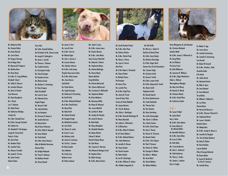

Ms. Katherine Dale Ms. Pamela Dallas Ms. Paula Daniels Ms. Carrie Davis Mr. Gregory Dearing Kim & Roger Deel Mr. Raymond N. Degener Ms. Martha Deno Mr. Hiren Desai Dr. & Mrs. R. Craig DeWeese Elizabeth Dieruf Ms. Sallie R. DiLaura Ms. Jennifer DiSanza Ms. Anne G. Discher Cary Donovan Ms. Dana Dougherty Mr. J. Dowd Lee C. Dulaney Ms. Kathy Dwyer Ms. Katherine Eldridge Carolyn Ely Mr. & Mrs. Donald Ensor Mr. & Mrs. George Everbach Ms. Eulalie Fee Ms. Elizabeth F. Fick Koppen Joseph M. Finizio M.D. Paula A. Fisher Ms. Doris Flack Ms. Heather Floyd Ms. Jennifer Foley Ms. Eleanor Forsythe Ms. Lynda K. Fortner Mr. Justin Fowles Andie Frisbee

Terry Fultz Mr. & Mrs. Ronald Gaffney Mr. Ed Garber & Ms. Sharon Lamb Mr. Joseph R. Gathright Jr. Mr. James L. Gerstle Mr. Thomas L. Gilmore Ms. Candice Gourley Dr. Christopher Grady Ms. Cheryl Granger Mr. Brandon Graves Ms. Melissa Green Ms. Barbara E. Greenberg Dr. Stacy Gregory Mark Grindstaff Ms. Carol A. Gross Ms. Deborah Gunn Angela Hagan Ms. Teresa B. Hall Ms. Judy Hamilton Mr. Joe Hampton Mr. Clarence H. Haney Jr. Ms. Sandra Harmon Ms. Nancy Harris Ray & Karen Hatzman Mr. & Mrs. Billy N. Haycraft Ms. Anna Hayden Ms. Paula Head Mr. & Mrs. Kevin Heavrin Allen & Michelle Hertzman Dianna Hicks Ms. Bridget Hittepole Ms. Tricia K. Hofmann Mr. Matthew Howell

Ms. Penny Howell



Mr. James S. Hurt Ms. Lara M. Hurt Mr. & Mrs. Tom Ice Mr. Michael Iglar Mr. John J. Janson Jr. Mr. Lonnie Johnson Mrs. Marilyn Johnson Mr. & Mrs. Scott Jonap Virginia Faye Jones Estate Mr. & Mrs. Mark Joyner Mrs. Anne Karem Ziad Katrib Ms. Paula Kelson Ms. Leigh Kessinger Ms. Katherine B. Kinsolving Mr. Hal W. Kirk Mr. & Mrs. Michael Kirkland Mr. & Mrs. David Kissel Ms. Missy Klotz Ms. Betty Kraft Ms. Andrea Kristofy Mr. Douglas Krogh Ms. Michelle Kruschwitz Ms. Jane Kuhn Ms. Sharon A. Lamb Mr. Grant E. Lane Ms. Barbara Lasky Ms. Janice G. Lawrence Ms. Christy L. Lawson Mr. Bob Leander Ken LeMaster Ms. Emily Levy Barbara Lewis Ms. Betty Lindauer

Mrs. Jade K. Lyons Mr. & Mrs. James Lyons Mr. Charles Marasa Mr. & Mrs. John Marks Anne & Jason Marshall Ms. Deborah J. Martin Ms. Stephanie Mason Ms. Andrea Mattingly Ms. Donna Mayer **Marion McClain** Greg McClellan Ms. Patricia McConnell Mrs. Sharon McDermott Mrs. Constance E. McDonald Ms. Stephanie Melder Mr. Brian Meldrum Ms. Rosemary Miller Ms. Nancy M. Minyard Mrs. Laura Mitchell Ms. Cynthia K. Moter Ms. Janalyn M. Murphy Ms. Janet M. Musson Mr. Mark Nally Ms. Nancy Naughton Ms. Elizabeth Neichter Ms. Bettye Nichols Sidney R. Nichols Daniel & Nancy Nieser Ms. Edie Nixon Mrs. Susanne E. Norman The Oikawa & Ristagno Fund Mr. Stephen Olson Ms. Robin Orange Mr. & Mrs. Marvin Owen

Ms. Sarah Dunbar Parker Mr. & Mrs. Alan Pauw Ms. Dolores Pavlica Mr. & Mrs. Patrick Peak Ms. Nancy L. Pearcy Ms. Joyce A. Pernus Alex Petre Mr. & Ms. Robert J. Petrokubi Ms. Eileen Pickett Dr. Michele Pisano Pat Poncheri Ms. Karen Price Ms. Loretta Price Mr. & Mrs. Virgil Price Ms. Janice M. Proud Susan & Gary Pyles Tommy & Paula Rabbeth Ms. Jacque Ramsey Ms. Tina M. Redmon Mrs. Alicia L. Reutlinger Mr. & Mrs. Kenneth Reutlinger III Ms. Nancy Reynolds Ms. Jodene L. Richardson Dr. Ty Richardson Mr. & Mrs. Albert B. Roberts Ms. M. Diane Roberts Mr. & Mrs. Michael Roberts Mrs. Cathy Robertson Ms. Jennifer B. Rousos Ms. Tonya Sander Mr. Patrick Scanlon Ms. Betty Schafer Mr. Jon M. Schatzinger Mr. & Mrs. William D. Scheler Mrs. Debbie Scoppechio &





Ms. Christine Weisbach Ariadne Welch Mr. & Mrs. James E. Whitworth Jr. Mr. Doug Whyte Mr. Eric Widmer The Kuna Fund Ms. Beth Wilkerson Ms. Jeannine R. Williams Mr. & Mrs. Edgar Wockenfuss Debra L. Wohner Warangkhana Wongba Ms. Mary Ann Wonzy Ms. Beverly H. Woock Ms. Charlene Woods Mr. & Mrs. David Wren Ms. Catherine Zoeller  $$250 +$ Ms. Susan P. Abell Ms. Lydia Aberli Amy J. Acton Mr. & Mrs. Glen Adams Dr. Steve Adams & Mr. Michael Miller Ms. Meredith Alderson Mr. & Mrs. Daryl Allen Mr. Larry H. Allen Ms. Ruth Allen Mrs. Corey Anderson Ms. Doris L. Anderson Ms. Faith Anderson Ms. Sherry L. Andes Ms. Sandra L. Andriot Kerri G. Angle

Steve Weingarten & Julie Bennett

Dr. Walter E. App Ms. Laura Aravo Ms. Jennifer Armstrong Ms. Jennifer D. Armstrong Lisa Arnold Mr. Robert W. Arnold Mr. & Mrs. Stanley L. Atlas Amanda Audia Erle Austin Ms. Jackie Austin Ms. Maryland Austin Mr. Mike G. Ayers Ms. Anne Baetzel Dr. Soon Bahrami Terry Bailey Mr. Willaim C. Ballard Jr. Ms. Lori Bane Sheree Banet Mr. Harvey W. Barnes Jr. Mr. & Mrs. Thomas F. Barrett Sr. Ms. Stephanie Barter Ms. Laura J. Bartlett Kanchan Barve Ms. Madge Bass Mr. & Mrs. Joseph A. Bauer Jr. Ms. Jennifer M. Baugher Drs. Tom & Becky Becherer Ms. Betty O. Becker Mr. Kevin Beckley Lauren Beckley Ellen & George Behrend Mr. Bryan Belote Dr. Susan M. Bentley & Dr. Kim R. Jonason Ms. Jennifer Berg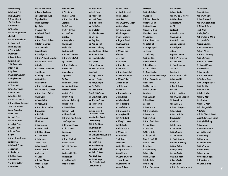Mr. Kenneth Berry Ms. Reberra A. Best Ms. Mary R. Beyerle Dr. Robin Bideau & Mr. Brent Bideau Mr. Leon Bideau Ms. Wendy Bird Mr. & Mrs. Douglas Bishop John Black Mr. & Mrs. Roland Blahnik Mrs. Susan Blakely Ms. Pamela Blevens Mr. Sam A. Blythe Jr. Mr. Jerry Bode Mr. David Boehman Andrew Bollinger Paul & Teresa Bonifer Mr. Billy Boone Marilyn Bower Mrs. Suzanne C. Bowman Ms. Mary Branham Lisa Braunstein Mr. Shayne Brill Ms. Carol S. Brinkman Ms. Connie S. Britt Ms. Cynthia E. Britt Mr. & Mrs. Gary Brockie Mr. & Mrs. Edward Brockman III Kim & James Broecker Ms. Amy Brombolich Ms. Erin Brown Ms. Jean H. Brown Mr. & Mrs. Jeff Brown Mrs. Kathy C. Brown Mrs. Lesley Brown Mr. Michael Brown R. Brown Mr. & Mrs. Robert S. Brown David Brumley Ms. Rebecca B. Bruner Sandra Bryant Mrs. J. G. Buckley Mr. Matthew Buckley Mr. Peter Buecker Peter & Tyler Burkhart Ms. Carol Burns

Mr. & Mrs. Robert Burns Mr. Brian A. Buschmann Dave & Kelly Buszkiewicz Kelly O. Buszkiewicz Mr. Anthony Butcher Bryce Butler Mrs. Susan Butler Ms. Rebecca H. Byford Mr. Lee Cain Mr. & Mrs. David L. Callison Mr. Richard M. Campbell Trish & Tom Candler Maureen Capalbo Ms. Dorothy Carle Mr. & Mrs. Anthony J. Casabella III Mr. & Mrs. James Caswell Melissa Cave Mrs. Donna R. Chamberlain Elaine Chappell Mrs. Beverly J. Chasteen Ms. Mary Chilko Ms. Maura Chilko Mr. & Mrs. Kevin Chlarson Mr. & Mrs. Robert G. Christian Mr. & Mrs. Howard T. Church Ms. Amy Cissell Ms. Susan J. Clark Ms. Tricia L. Cobler Mr. & Mrs. James L. Colbert Royce Coleman Mr. Eric Collis Mrs. Stefanie Colvin Sylvia Coman Mr. James Connor Mr. John R. Conrad Mr. Matthew C. Conway Ms. Janice Cooper Mr. Justin Cooper Catherine Corless Ms. Kari Cornwell Mr. Kevin A. Cowell Alex Cravanas Will Creech Mr. Michael Crittenden Mr. Edwin E. Cruise Mr. William Currie Mr. Steve Curry Ms. Marina Cushing Galen Daihl Debbie Dalton Mrs. Judy H. Dalton Ms. Janice Davis Karen Day Mr. Gregory Deam Ms. Jillian Deck Angela Decker Ms. Marsha Decker Mr. Michael D. DeFilippo Mr. & Mrs. Kevin DeMott Joyce Denham Mr. & Mrs. Erik Dennes Mr. Gary Dennison Shannon Depew Kelly Dettore Viki Diaz Ms. Pamela A. Dickerson Ms. Jeannette M. Diemer Mr. Edward Diminnie Ms. Monika Dixit Ms. Cathy Dobbs Ms. Kristen L. Dobrodziej Ms. Sydney Doctor Ms. Naomi Dolinka Ms. Nancy H. Doll Ms. Eleanor Domek Leslie Droppelman Mr. Christopher Duncan Ms. Sharon Duncan Ms. Jane Dyer Jerry East Mr. & Mrs. Erik Eckel Ms. Becky Edwards Ms. Traci K. Eikenberry Anna Elder Ms. Margaret D. Ellaby Ms. Sue Ellison Mrs. Kathleen English Mr. Leslie Erlandson

Earl Cummings

Mr. & Mrs. Huston P. Dahl Jr. Mr. & Mrs. Richard Downing Ms. Dora B. Esakov Mr. Brock Evans Ms. Bethany Faith Mr. John A. Farmer Ms. Heather Farrer Ms. Patricia Farris Mr. Terry Felker Jay & Dana Ferguson Ms. Kim Fiala Ms. Mary Flarety Ms. Pamela J. Fleitz Mr. Dennis R. Fleming Mr. & Mrs. Samuel J. Fodera Mrs. Ramona L. Ford Ms. Elisabeth U. Foshee Ms. Angie Fox Dr. & Mrs. Bryan Fox Mrs. Nancy Fox James Steve Frank Ms. Paige C. Franklin Ms. Lenora Fugate Ms. Penny D. Fugate Ms. Kim Gaddie Ms. Laura Galloway Brock & Robin Gamez Mr. & Mrs. Gene P. Gardner Ms. H. Yvonne Gardner Ms. Sherry Garmon Ms. Dana L. Garner Mr. Brent Garrett & Mrs. Glenda Marker Mr. & Mrs. Paul Garrett Christine Garvey Tricia A. Gettelfinger Mr. James Gibson Ms. Whitney Glover Ms. Cathy Gordinas Ms. Sherie Gower Ms. Debra Graening Ms. Karen L. Grantz Mrs. Judith D. Graviss Alisa & Josh Gray Mrs. Tricia J. Gray & Mr. Christopher Mescia Dana Greathouse

Mr. & Mrs. Jonathan W. Goldstein Jarrett Greer Mr. William Haak Mike Hack Carron Haight Ms. Leica Haire Ms. Lisa Haley C. Robbin Hansen Lea D. Hardwick Ms. Karin Harle Courtney Harms Ms. D. K. Hayden Mr. William Hays Marlies Heiland Tom Herman Sharon F. Herrin **Lawrence Higgins** 

Mrs. Sue C. Green Mrs. Martha Greenwell Ms. Rita Greenwell Mr. & Mrs. Danny L. Gregory Ms. Martina Grider Ms. Gretchen B. Griggs Bill & Tammy Gross Mrs. Erica Grossberg Mr. Edgar M. Grove Jr. Ms. Jane Guardiola Ms. Bambi L. Guthrie Mr. & Mrs. Jon Hale Mr. & Mrs. David C. Hall Mrs. Mary Ellen Hamlet Mr. William E. Hancock Mr. Lawrence Harmon Ms. Roberta Harrah Ms. Gail Harrington Ms. Jennifer Harrison Mr. & Mrs. Grant Hart Ms. Ashley Hatfield Ms. G-Ann Hatfield Mr. Wesley S. Hawkins Mr. Charlie Haydon Claudia Hendricks Ms. Meredith Hernandez Ms. Angela G. Herps Mrs. Danielle A. Higdon Ms. Jennifer W. Hoert Ms. Amy B. Hogan

**Terri Hogge** Ms. Michelle Holcomb Ms. Anita Holt Mr. Michael J. Horbaniuk Ms. Sharon L. Horn Ms. Megan Hoskins Mr. Jerome A. House Mike & Sheri Howard Mrs. Lisa Hoyer Mr. & Mrs. Rainer Hoyer Ms. Talitha Hunt Ms. Wendy C. Hyland Lisa Hyman Elizabeth Hyslop Ms. Marsha Illback Ms. Crystal Ishmael Mr. Robert Izgarjan Ms. Joni L. Jackman Mrs. Anna I. Jacobsen Mr. & Mrs. Harry E. Jacobson-Beyer Mr. & Mrs. Dwayne Jarboe Barbara Jarvis Ms. Allison Jenkins Ms. Linda J. Jennings Diane Joest Ms. Mary Johnson Mr. Mike Johnson Ann Jones Ms. Danielle Jones Mr. & Mrs. Frank Jones Ms. Kristen Jones Ms. Marilyn Jones Mr. & Mrs. Paul E. Jones Mrs. Ronald Jones Ms. Sarah Jones Ms. Sharon Kaelin Ms. Sherry Karrick Robert Kasting D.M.D. Ms. Linda Kearney Bernie Keene Dr. Virginia Keeney Ms. Emily Kelly Ms. Kari A. Kelton Ms. Helen Kielkopf Ms. Cindy King Mr. & Mrs. Stephen King

Ms. Nicole P. King Ms. Karen Koenig Mr. & Mrs. Roger J. Kotlowski Ms. Melinda Kozo Dr. Forrest Kuhn Mac T. Lacy David Laird Ms. Meredith Lambe Ms. Julie Lamkin Ms. Carrie A. Lawless Leslie Vann Lazrovitch Ms. Dorothy Lea Linda Lee Maija-Liisa Lemmetti Mr. & Mrs. Arthur Lerman Mrs. Lydia Levine Mrs. Paula F. Levinson Carol Levitch Hongxiang Li Mr. & Mrs. James R. Lillie Ms. Katherine Lilly Ms. Laura Lin Mr. Brian B. Lindsay Holly Liter Mr. & Mrs. Hoyte Little Mr. & Mrs. Glenn R. Lochner Rob & Anne Locke Mark & Jean Locy Ms. Dana S. Longworth Ms. Lois S. Louis Ms. Marcia G. Luckett Robin W. Luckett Adam Luken Ms. Helen Lyons Mrs. Tina Mackin Ms. Mary Maddox Patricia F. Mahaun Mrs. Carole Mahoney Mr. William B. Mahoney Ms. Mona Mallory Ms. Betty J. Maloy Mary Caye Martin Ms. Molly M. Martin Mr. Orville Martin Ms. Janet Mason Mr. & Mrs. Raymond N. Mason Jr.

Arty Masterson Morgan Masterson Mr. & Mrs. Jim Mayer Mr. John W. Mayhugh Mr. & Mrs. Joseph J. Mazza Mr. Michael R. Mazzoli Sara F. McCall Ms. Cheryl McClain Mr. & Mrs. Mike K. McClure Ms. J. Lynne McCoy Mr. James McCullum Ms. Carol M. McElheney Ms. Darcy McGraw Mr. Edward J. McInerney Ms. Mary McKinney McMahan Tile & Marble Mrs. Karen McWhorter Ms. Nora Meldrum Mr. James Menifee Mr. & Mrs. Scott Menzel Ms. Stephanie Mercer Robert & Margaret Merrick Ms. Maxine Milby Ms. Beverly Miller Ms. Deborah Miller Mr. Gary C. Miller Ms. Judy Miller Ms. Karen D. Miller Mark & Bridgett Miller Paula Miller Dr. & Mrs. Edward L. Mitchell Gordon Moffett & Leah Stewart Ms. Mary Mohlenkamp Mr. John Molden Ms. Bernadette Monday Jean-Paul Montreuil Ms. Dana Moody Ms. Diane Moore Ms. Jennifer A. Moore Ms. Mary S. Moore Ms. Dawn Mooser Ms. Karen Morgan Ms. Wanetta B. Morgan Mr. Lonnie Morris Mrs. Susan M. Morris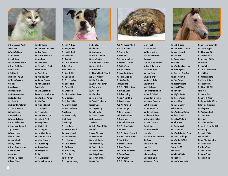

Mr. & Mrs. Samuel Moseley Dorothy Moss Ms. Vonda Motsinger Mrs. Joseph Mudd Mrs. Leslie Mudd Mr. & Mrs. Michael Mueller Mr. & Mrs. Neil Mullaney Ms. Linda Muller Mr. Todd Mundt Ms. Stephanie Muscutt Ms. Shauna Musuraca Pat Nalley Sabeen Nasim Ms. Patricia F. Neely Ms. Maggie Neithammer Ms. Michelle Nelson Ms. Judy Nesbit Ms. Margaret R. Netherton Ms. Tonya G. Newman Ms. Irene Newsom Mr. Keith Nicholson Ms. Carol A. Noffsinger Mr. & Mrs. Michael Nord Mr. Jonathan V. Norman III Kelly A. Norman Ms. Susan H. Norris Billy J. Norsworthy Ms. Jennifer Nunley Ms. Betty J. O'Bryan Mr. & Mrs. David Oestringer Rebecca Okruhlica Ms. Ann Olsen Mr. Gordon E. Pageau Mr. David Pallares

Mr. Robert Parker Mr. & Mrs. Don E. Parkinson Mrs. Ivan Parsons Mr. James A. Patterson II Ms. Jean Payne Ms. Laurie Pearce Ms. Katrina Pekich-Bundy William Perrine Ms. Mary E. Perry Ms. Pamela K. Peter Mr. Matthew Peterson Ms. Mary E. Petterssen Susan Pfeifer Mr. & Mrs. Allen Philpot Richard & Natasha Pieczynski Mr. & Mrs. David Piaram Jay & Jen Pitts Ms. Bonnie J. Plaskett Gary & Missy Platt Ms. Virginia Pollack Mr. & Mrs. Donald Pope Ms. Shirley A. Powell Mr. George Powers Ms. Beth A. Pruitt **Ms. Lisa Quiggins** Mariela & Julio Ramirez Mr. John M. Rasmussen Ms. Allison Ratterman Joe & Sue Rawlings Ms. Deborah Rawn Mr. Christopher Ray Tara Reck

Jack & Gini Reckner Mr. Herbert J. Redmon Jr.



Ms. Tracy M. Redmon Mr. George A. Reed Ms. Judith B. Reed Ms. Tamara Reif Ms. Kara Reilly Mr. & Mrs. Sheldon Rein Catherine Renz Rob & Darlene Rich Ms. Susan R. Rich Ms. Meta Richards Ms. Tracy Richardson Ms. Isabell Rickert Ms. Pamela Ridlon Ms. Linda Ritter

Ms. Linda Robben Mrs. Helena Robbins Ms. Carolyn H. Roberts Ms. Victoria Robertson Marti Robson Ms. Rebecca A. Roby Smith Rodes Shari Rodriguez Ms. Laura Rogers Mr. Michael L. Roland Dr. Kourtney Roppel Mr. Isaac Rosenzweig Ms. Lindsay Rost Mr. & Mrs. Todd Roth Ms. Terri Rowray Ms. Ashley B. Ruby Ms. Carol Rumrill Carolyn Runyon Ms. Leighanne Rushing

Mr. & Mrs. Stephen P. Rivette Nicole Rushing Chandra Saettel Mr. Brent Sample Ms. Jean M. Sandmann Ms. Daisy Santiago Mr. & Mrs. Jeffrey A. Savarise Mrs. Jenni Schelling Ms. Joyce Schipke Dr. & Mrs. William K. Schmied Mrs. Anne D. Schmitt Mr. John M. Schmitz Ms. Sherri Schuenemeyer Ms. Claudia Scott Ms. Nina Scott Mr. John Selent Mr. Robert Seward Ms. Claire K. Shadburne Kimberly Shade Mr. Doug Shalosky Samantha Shelton Ms. Gayle A. Sherman Ms. Jodie Sherman Jane Shine Mr. & Mrs. Robert H. Shipp Lisa Shoff Djamshid Shprapov Ms. Miranda Sloan Mrs. Amy K. Smalley Mrs. Jane W. Smiley Ms. Sandra J. Smiley Mr. Joseph M. Smith Mrs. Marilyn I. Smith Mark & Kathleen Smith Mary Ann Smith

Mr. & Mrs. Richard D. Smith Ms. Sarah H. Smith Ms. Susan Smith Ms. Vivian Smith Mr. Richard A. Smithson Ms. Roberta L. Snawder Mr. Matthew Solan Mr. & Mrs. Tom Solley Ms. Jacqueline Sollinger Mrs. Teresa A. Spalding Mrs. Kim Spaulding Laura Spaulding Mr. & Mrs. F. Richard Splan Ms. Denise L. Spratt Ms. Melissa Stallings Deborah A. Standiford Ms. Beverly Stangle Mr. & Mrs. Walter Stark Ms. Janice Staugas Ms. Patricia Staugas Linda & Roberta Steder Ms. Mary B. Stein Ms. Kimberly Stephenson Mr. & Mrs. Bruce Sterling Jessica Stevens Mr. & Mrs. Robert F. Stevens III Dr. & Mrs. Charles Stevenson Ms. Jane A. Stine Ms. Shannon C. Stoehr Ms. Megan Stoggams Steve & Marty Stooksberry Mr. Gregory Stowers Mr. Jeffrey Stream Mr. & Mrs. William Street





Mr. & Mrs. Nathan D. Tucker Mr. Frank J. Turner Jr. Ms. Carol Turnier Ms. Michelle Tydlacka Kelli Ulferts Mr. & Mrs. Keith Underwood Mr. John M. Uphaus Ms. Mary-Lloyd Vance Clay Mr. Jason Vander Pol Ms. Cheryl Veague Mrs. Rudolph Vincenti Mr. Richard F. Vinson Mr. Larry Vogt Ms. Sally Von Borries Ms. Donna L. Voyles Mr. Dustin Wade Ms. Joyce A. Waflart Michael Wakefield Mr. & Mrs. Michael Walling Mr. Charles E. Walz Ms. Lindsay Wantland Mr. Will W. Ward Ms. Marylea Wardley Ms. Lissa Wathen Mr. & Mrs. Nathaniel J. Webb Ms. Candace Weddington Mr. & Mrs. Patrick Welch Ms. Mona West Pamela Kaye West Tracy Westrick Mr. William Whitaker Mr. Brad White Ms. Lotte W. Widerschein

Ms. Cindy R. Tucker

Ms. Mary Ellen Wiederwohl Ms. Theresa Wiggins Mr. & Mrs. Frank Wiley Mr. Derek Wilhelmus Ms. Margaret F. Wilhite Amos Wilkins Ms. Jean Wilkins Mr. & Mrs. Alfred Williams Becky Williams Mr. Brandon Williams Mrs. Harriet Williams Ms. Tonya Williams Mr. & Mrs. Bill C. Willis Glynis Willis Ms. Jennifer Willis Ms. Marcia R. Wilmet Randall and Andrea Wilson Richard and Ardi Wilson Ms. Hilary Wise Ms. Angela Wiselogel Mr. Robert Witten Becky Wolf Ms. Linda J. Woodhouse Mr. and Mrs. Daniel Woodside Erin Wotring Mr. Lonnie C. Wright Brad Wunderlich Bud and Sissy Wunderlich Ms. Theresa Wyatt Mrs. Sherry Yang Mr. Joseph A. Yoerg Mr. Michael Young Ms. Tammi Young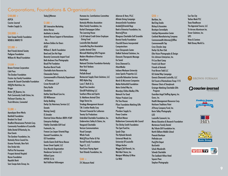### Corporations, Foundations & Organizations

#### $$100.000 +$

ASPCA Courier-Journal Feeders Supply Co.

#### $$50.0000 +$

Sam Swope Family Foundation WDRB & WMYO TV

#### $$25.000 +$

Best Friends Animal Society Pediaree Foundation William M. Wood Foundation

#### $$10.000 +$

Brown-Forman Corporation Cafe Press The Dunbar Foundation Frazier-Joy Family Foundation Joanne W. Gauntt Charitable Foundation Hill's Pet Nutrition, Inc. Kroger Mister "P" Express, Inc. Park Community Credit Union, Inc. PetSmart Charities, Inc. Truist Altruism, Connected

#### $$5,000 +$

Apocalypse Brew Works Banfield Foundation Brackets For Good Bradford Renaissance Portraits Corp. Community Foundation of Louisville Delta Dental Of Kentucky, Inc. Dow Events The Gardner Foundation, Inc. Kentucky Horse Council Inc. Kramer Portraits, New York One Stroke Inks PetFirst Pet Insurance Prospect Animal Hospital Razoo Foundation Republic Bank Sam Swope Auto Group, Inc.

#### Today's Woman

#### $$1,000 +$

301 Interactive Marketing Active Heroes Aesthetics in Jewelry Animal Rescue Support of Kentuckiana Inc. Anthem Dollars for Doers AT&T William E. Barth Foundation Bend and Zen Hot Yoga Benevity Community Impact Fund Beth Andrews Fine Photography Bissell Pet Fondation Bourbon Barrel Foods Charitable Auto Resources Inc. Cheesecake Factory Commonwealth of Kentucky Department of Treasury Crowe Horwath LLP Dairy Kastle Dandelion DaVita Total Renal Care Inc. DD Williamson Derby Bedding Derby City Veterinary Services LLC **Donatic** Raising Cane's El Jimador Electrical Union Workers IBEW #369 Enterprise Holdings Fidelity Charitable Gift Fund Footworks, Inc. Frances Lee Jasper Oriental Rugs Gannett Foundation, Inc GE Foundation Gentle Giants Draft Horse Rescue Green Street Capital, LLC Grey Muzzle Organization Henderson Services LLC Hilliard Lyons HYPER 13:16 Neil Huffman Volkswagon

Humana Inc. Contributions Committee **Impressions** Kentucky Wireless Association Klein Family Foundation, Inc. Korbel Champagne Cellars The Learning House L & N Federal Credit Union Employee Giving Fund Louisville Bats Baseball Louisville Dog Run Association Lyndon Animal Clinic Microsoft Matching Gifts Program Modern Woodmen of America **MotoPhoto** National Christian Foundation Kentucky New York Yankees **Oohology** PetSafe Brand Restaurant Supply Chain Solutions, LLC RKD Alpha Dog Louis T. Roth & Co. Royal Fine Jewelers Shircliff Publishing LLC Southern Wine and Spirits St. Matthews Animal Clinic Stage Stores Inc. Stradegy Management Account T.M. Crutcher Realty Corp Thrivent Financial for Lutherans Twenty-Six Productions Unbridled Charitable Foundation, Inc. Underwriters Safety & Claims, Inc. Vanguard Charitable Verizon Communications Visual Concepts Whole Foods Wick's Pizza Parlor & Pub Yarnell Family Foundation Yoga I.S., LLC YourCause Paying Agent Yum! Brands Foundation, Inc.

#### $$500 +$

21C Museum Hotel

Ackerson & Yann, PLLC Allstate Giving Campaign AmazonSmile Foundation Anabel's Oriental Rugs Bank of America Foundation, Inc. Bearno's Pizza Bluegrass Charitable Golf Scramble Bonnie Family Foundation Churchill Downs Incorporated **Computershare** Core Chiropractic Center DeMott Technical Solutions, Inc. Elements Therapeutic Massage Go Social Gross Diamond Co. iHeartMedia Indiana Wesleyan University Jones Sparks Properties LLC Louisville Relocation Services Marsh & McLennan Companies Mattei-Rothschild Foundation Metro United Way Inc. **Mountioy Chilton Medley CPAs** Network For Good Palmer Products Corp Pet Tree Houses Pfizer Foundation Matching Gifts Program Plumbers Supply Co. Power Creative Rockford Manor Rubbertown Community Adv Council The Shirley Smith Foundation The Spot Fund Inc. Spudz Chips The Hylands Kennels Universal Woods Inc. University Of Louisville Village Anchor Waggin' Tail Kennels, Inc. Wal-Mart Stores, Inc. Westport Whiskey & Wine Coi Wild

#### $$250 +$

Barkbox, Inc. Bed Dog Studio Bishop & Associates Boutique Serendipity CaloSpa Rejuvenation Center Cardinal Manufacturing Company Commonwealth Attorney's Office Commonwealth Tap Cross Chrysler Jeep Derby City Run Club Elite Vision Photography & Design Eric Johnson Enterprises, Inc. Fit Lou Boot Camp French Lick Resort Friends of Animals Frost Brown Todd LLC GE United Way Campaign Genesis Diamonds Louisville, LLC Girl Scouts of Kentuckiana Troop 1115 Glamour Shots of Stonybrook Grainger Matching Charitable Gifts Program Guardian Angel Staffing Agency, Inc. Guess, Inc. Health Management Resources Corp. Heirloom Traditions Paint JCPenny Company Fund, Inc. Kevin Talley Photography LEO Louisville Casework, Inc. Mensa Education & Research Foundation Mortenson Family Dental My Tribute Gift Foundation Inc. North Oldham Middle School Peacock Boutique Petfinder.com Poe's Pet Depot **RunSwitch** Schulz Woodcrafts Schwab Charitable The Seelbach Hilton Hotel Square Paws Stephen Photography

Sun Tan City Tachau Meek PLC Texas Roadhouse The Appraisal Source, LLC Tri-Arrows Aluminum Inc. Trover Solutions, Inc. UPS Vines & Canines Walt Disney World Co.



#### (courier-journal